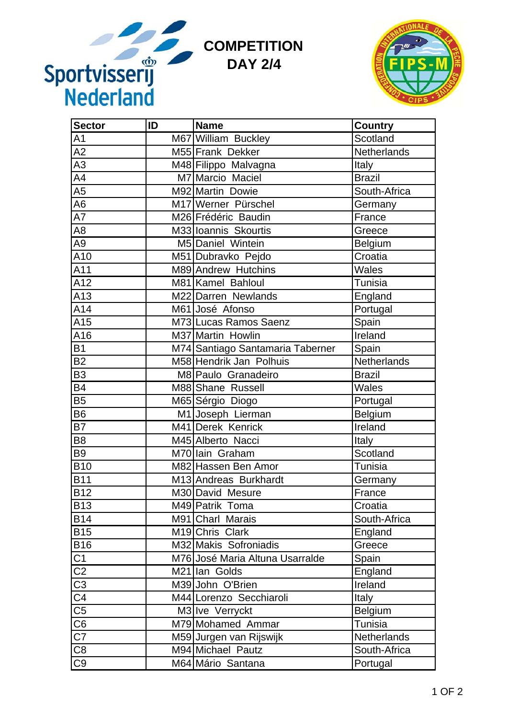

| Sportvisserij<br><b>COMPETITION</b><br><b>DAY 2/4</b> |    |                                  |                    |  |  |
|-------------------------------------------------------|----|----------------------------------|--------------------|--|--|
| <b>Sector</b>                                         | ID | <b>Name</b>                      | Country            |  |  |
| A <sub>1</sub>                                        |    | M67 William Buckley              | Scotland           |  |  |
| A2                                                    |    | M55 Frank Dekker                 | Netherlands        |  |  |
| $\overline{A3}$                                       |    | M48 Filippo Malvagna             | Italy              |  |  |
| A4                                                    |    | M7 Marcio Maciel                 | <b>Brazil</b>      |  |  |
| A <sub>5</sub>                                        |    | M92 Martin Dowie                 | South-Africa       |  |  |
| A <sub>6</sub>                                        |    | M17 Werner Pürschel              | Germany            |  |  |
| A7                                                    |    | M26 Frédéric Baudin              | France             |  |  |
| A8                                                    |    | M33 Ioannis Skourtis             | Greece             |  |  |
| A9                                                    |    | M5 Daniel Wintein                | <b>Belgium</b>     |  |  |
| A10                                                   |    | M51 Dubravko Pejdo               | Croatia            |  |  |
| A11                                                   |    | M89 Andrew Hutchins              | Wales              |  |  |
| A12                                                   |    | M81 Kamel Bahloul                | <b>Tunisia</b>     |  |  |
| A13                                                   |    | M22 Darren Newlands              | England            |  |  |
| A14                                                   |    | M61 José Afonso                  | Portugal           |  |  |
| A15                                                   |    | M73 Lucas Ramos Saenz            | Spain              |  |  |
| A16                                                   |    | M37 Martin Howlin                | Ireland            |  |  |
| <b>B1</b>                                             |    | M74 Santiago Santamaria Taberner | Spain              |  |  |
| <b>B2</b>                                             |    | M58 Hendrik Jan Polhuis          | Netherlands        |  |  |
| B <sub>3</sub>                                        |    | M8 Paulo Granadeiro              | <b>Brazil</b>      |  |  |
| <b>B4</b>                                             |    | M88 Shane Russell                | Wales              |  |  |
| <b>B5</b>                                             |    | M65 Sérgio Diogo                 | Portugal           |  |  |
| B <sub>6</sub>                                        |    | M1 Joseph Lierman                | Belgium            |  |  |
| <b>B7</b>                                             |    | M41 Derek Kenrick                | Ireland            |  |  |
| B8                                                    |    | M45 Alberto Nacci                | Italy              |  |  |
| B <sub>9</sub>                                        |    | M70 lain Graham                  | Scotland           |  |  |
| <b>B10</b>                                            |    | M82 Hassen Ben Amor              | Tunisia            |  |  |
| <b>B11</b>                                            |    | M13 Andreas Burkhardt            | Germany            |  |  |
| <b>B12</b>                                            |    | M30 David Mesure                 | France             |  |  |
| <b>B13</b>                                            |    | M49 Patrik Toma                  | Croatia            |  |  |
| <b>B14</b>                                            |    | M91 Charl Marais                 | South-Africa       |  |  |
| <b>B15</b>                                            |    | M19 Chris Clark                  | England            |  |  |
| <b>B16</b>                                            |    | M32 Makis Sofroniadis            | Greece             |  |  |
| $\overline{C1}$                                       |    | M76 José Maria Altuna Usarralde  | Spain              |  |  |
| $\overline{\text{C2}}$                                |    | M21 Ian Golds                    | England            |  |  |
| $\overline{\text{C3}}$                                |    | M39 John O'Brien                 | Ireland            |  |  |
| $\overline{\text{C4}}$                                |    | M44 Lorenzo Secchiaroli          | <b>Italy</b>       |  |  |
| $\overline{\overline{\text{C5}}}$                     |    | M3 Ive Verryckt                  | Belgium            |  |  |
| $\overline{\text{C6}}$                                |    | M79 Mohamed Ammar                | Tunisia            |  |  |
| $\overline{\text{C7}}$                                |    | M59 Jurgen van Rijswijk          | <b>Netherlands</b> |  |  |
| $\frac{\overline{\text{C8}}}{\text{C9}}$              |    | M94 Michael Pautz                | South-Africa       |  |  |
|                                                       |    | M64 Mário Santana                | Portugal           |  |  |